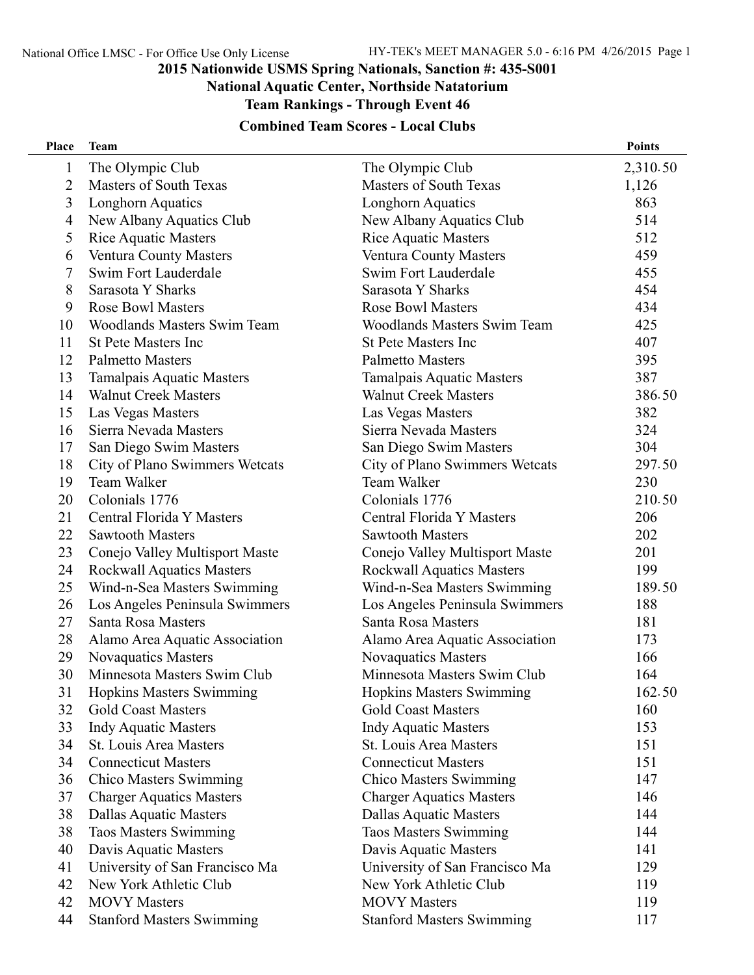#### **National Aquatic Center, Northside Natatorium**

**Team Rankings - Through Event 46**

| Place        | <b>Team</b>                      |                                    | <b>Points</b> |
|--------------|----------------------------------|------------------------------------|---------------|
| $\mathbf{1}$ | The Olympic Club                 | The Olympic Club                   | 2,310.50      |
| 2            | <b>Masters of South Texas</b>    | <b>Masters of South Texas</b>      | 1,126         |
| 3            | <b>Longhorn Aquatics</b>         | Longhorn Aquatics                  | 863           |
| 4            | New Albany Aquatics Club         | New Albany Aquatics Club           | 514           |
| 5            | <b>Rice Aquatic Masters</b>      | <b>Rice Aquatic Masters</b>        | 512           |
| 6            | Ventura County Masters           | Ventura County Masters             | 459           |
| 7            | Swim Fort Lauderdale             | Swim Fort Lauderdale               | 455           |
| 8            | Sarasota Y Sharks                | Sarasota Y Sharks                  | 454           |
| 9            | <b>Rose Bowl Masters</b>         | <b>Rose Bowl Masters</b>           | 434           |
| 10           | Woodlands Masters Swim Team      | <b>Woodlands Masters Swim Team</b> | 425           |
| 11           | <b>St Pete Masters Inc</b>       | <b>St Pete Masters Inc</b>         | 407           |
| 12           | <b>Palmetto Masters</b>          | <b>Palmetto Masters</b>            | 395           |
| 13           | Tamalpais Aquatic Masters        | <b>Tamalpais Aquatic Masters</b>   | 387           |
| 14           | <b>Walnut Creek Masters</b>      | <b>Walnut Creek Masters</b>        | 386.50        |
| 15           | Las Vegas Masters                | Las Vegas Masters                  | 382           |
| 16           | Sierra Nevada Masters            | Sierra Nevada Masters              | 324           |
| 17           | San Diego Swim Masters           | San Diego Swim Masters             | 304           |
| 18           | City of Plano Swimmers Wetcats   | City of Plano Swimmers Wetcats     | 297.50        |
| 19           | Team Walker                      | Team Walker                        | 230           |
| 20           | Colonials 1776                   | Colonials 1776                     | 210.50        |
| 21           | Central Florida Y Masters        | Central Florida Y Masters          | 206           |
| 22           | <b>Sawtooth Masters</b>          | <b>Sawtooth Masters</b>            | 202           |
| 23           | Conejo Valley Multisport Maste   | Conejo Valley Multisport Maste     | 201           |
| 24           | <b>Rockwall Aquatics Masters</b> | <b>Rockwall Aquatics Masters</b>   | 199           |
| 25           | Wind-n-Sea Masters Swimming      | Wind-n-Sea Masters Swimming        | 189.50        |
| 26           | Los Angeles Peninsula Swimmers   | Los Angeles Peninsula Swimmers     | 188           |
| 27           | Santa Rosa Masters               | Santa Rosa Masters                 | 181           |
| 28           | Alamo Area Aquatic Association   | Alamo Area Aquatic Association     | 173           |
| 29           | <b>Novaquatics Masters</b>       | <b>Novaquatics Masters</b>         | 166           |
| 30           | Minnesota Masters Swim Club      | Minnesota Masters Swim Club        | 164           |
| 31           | <b>Hopkins Masters Swimming</b>  | Hopkins Masters Swimming           | 162.50        |
| 32           | <b>Gold Coast Masters</b>        | <b>Gold Coast Masters</b>          | 160           |
| 33           | <b>Indy Aquatic Masters</b>      | <b>Indy Aquatic Masters</b>        | 153           |
| 34           | St. Louis Area Masters           | <b>St. Louis Area Masters</b>      | 151           |
| 34           | <b>Connecticut Masters</b>       | <b>Connecticut Masters</b>         | 151           |
| 36           | <b>Chico Masters Swimming</b>    | <b>Chico Masters Swimming</b>      | 147           |
| 37           | <b>Charger Aquatics Masters</b>  | <b>Charger Aquatics Masters</b>    | 146           |
| 38           | <b>Dallas Aquatic Masters</b>    | <b>Dallas Aquatic Masters</b>      | 144           |
| 38           | <b>Taos Masters Swimming</b>     | <b>Taos Masters Swimming</b>       | 144           |
| 40           | Davis Aquatic Masters            | Davis Aquatic Masters              | 141           |
| 41           | University of San Francisco Ma   | University of San Francisco Ma     | 129           |
| 42           | New York Athletic Club           | New York Athletic Club             | 119           |
| 42           | <b>MOVY</b> Masters              | <b>MOVY</b> Masters                | 119           |
| 44           | <b>Stanford Masters Swimming</b> | <b>Stanford Masters Swimming</b>   | 117           |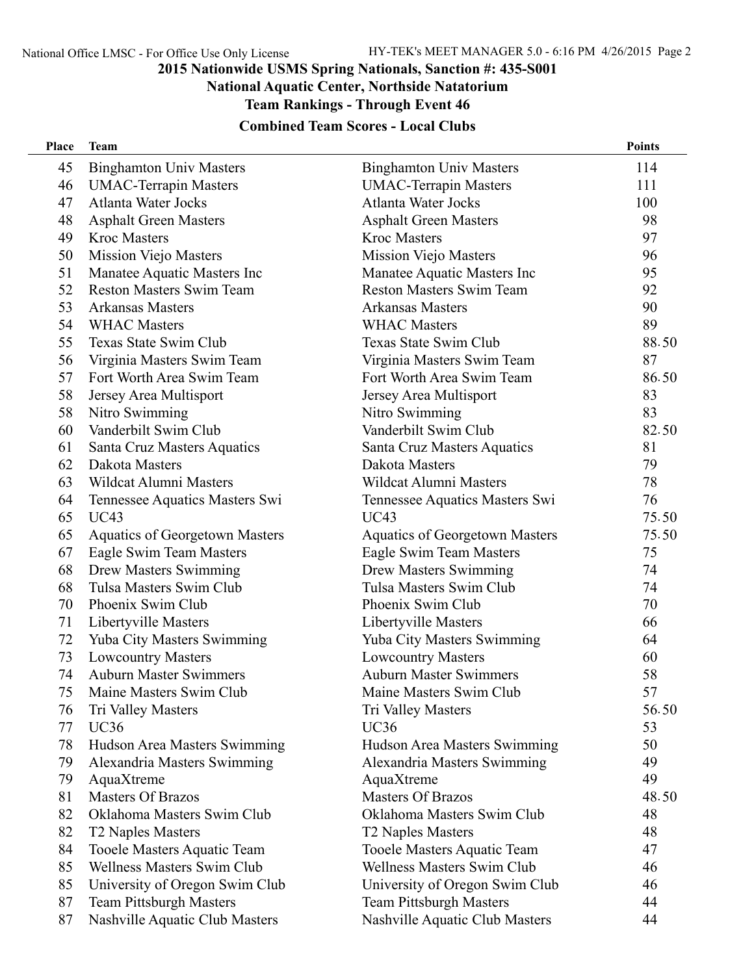**National Aquatic Center, Northside Natatorium**

**Team Rankings - Through Event 46**

| Place | <b>Team</b>                           |                                       | <b>Points</b> |
|-------|---------------------------------------|---------------------------------------|---------------|
| 45    | <b>Binghamton Univ Masters</b>        | <b>Binghamton Univ Masters</b>        | 114           |
| 46    | <b>UMAC-Terrapin Masters</b>          | <b>UMAC-Terrapin Masters</b>          | 111           |
| 47    | <b>Atlanta Water Jocks</b>            | <b>Atlanta Water Jocks</b>            | 100           |
| 48    | <b>Asphalt Green Masters</b>          | <b>Asphalt Green Masters</b>          | 98            |
| 49    | <b>Kroc Masters</b>                   | <b>Kroc Masters</b>                   | 97            |
| 50    | <b>Mission Viejo Masters</b>          | <b>Mission Viejo Masters</b>          | 96            |
| 51    | Manatee Aquatic Masters Inc           | Manatee Aquatic Masters Inc           | 95            |
| 52    | <b>Reston Masters Swim Team</b>       | <b>Reston Masters Swim Team</b>       | 92            |
| 53    | <b>Arkansas Masters</b>               | <b>Arkansas Masters</b>               | 90            |
| 54    | <b>WHAC Masters</b>                   | <b>WHAC Masters</b>                   | 89            |
| 55    | Texas State Swim Club                 | Texas State Swim Club                 | 88.50         |
| 56    | Virginia Masters Swim Team            | Virginia Masters Swim Team            | 87            |
| 57    | Fort Worth Area Swim Team             | Fort Worth Area Swim Team             | 86.50         |
| 58    | Jersey Area Multisport                | Jersey Area Multisport                | 83            |
| 58    | Nitro Swimming                        | Nitro Swimming                        | 83            |
| 60    | Vanderbilt Swim Club                  | Vanderbilt Swim Club                  | 82.50         |
| 61    | Santa Cruz Masters Aquatics           | Santa Cruz Masters Aquatics           | 81            |
| 62    | Dakota Masters                        | Dakota Masters                        | 79            |
| 63    | <b>Wildcat Alumni Masters</b>         | <b>Wildcat Alumni Masters</b>         | 78            |
| 64    | Tennessee Aquatics Masters Swi        | Tennessee Aquatics Masters Swi        | 76            |
| 65    | <b>UC43</b>                           | <b>UC43</b>                           | 75.50         |
| 65    | <b>Aquatics of Georgetown Masters</b> | <b>Aquatics of Georgetown Masters</b> | 75.50         |
| 67    | Eagle Swim Team Masters               | Eagle Swim Team Masters               | 75            |
| 68    | <b>Drew Masters Swimming</b>          | <b>Drew Masters Swimming</b>          | 74            |
| 68    | Tulsa Masters Swim Club               | Tulsa Masters Swim Club               | 74            |
| 70    | Phoenix Swim Club                     | Phoenix Swim Club                     | 70            |
| 71    | Libertyville Masters                  | Libertyville Masters                  | 66            |
| 72    | Yuba City Masters Swimming            | <b>Yuba City Masters Swimming</b>     | 64            |
| 73    | <b>Lowcountry Masters</b>             | <b>Lowcountry Masters</b>             | 60            |
| 74    | <b>Auburn Master Swimmers</b>         | <b>Auburn Master Swimmers</b>         | 58            |
| 75    | Maine Masters Swim Club               | Maine Masters Swim Club               | 57            |
| 76    | Tri Valley Masters                    | Tri Valley Masters                    | 56.50         |
| 77    | <b>UC36</b>                           | <b>UC36</b>                           | 53            |
| 78    | Hudson Area Masters Swimming          | Hudson Area Masters Swimming          | 50            |
| 79    | Alexandria Masters Swimming           | Alexandria Masters Swimming           | 49            |
| 79    | AquaXtreme                            | AquaXtreme                            | 49            |
| 81    | <b>Masters Of Brazos</b>              | <b>Masters Of Brazos</b>              | 48.50         |
| 82    | Oklahoma Masters Swim Club            | Oklahoma Masters Swim Club            | 48            |
| 82    | T2 Naples Masters                     | T2 Naples Masters                     | 48            |
| 84    | Tooele Masters Aquatic Team           | Tooele Masters Aquatic Team           | 47            |
| 85    | <b>Wellness Masters Swim Club</b>     | <b>Wellness Masters Swim Club</b>     | 46            |
| 85    | University of Oregon Swim Club        | University of Oregon Swim Club        | 46            |
| 87    | <b>Team Pittsburgh Masters</b>        | <b>Team Pittsburgh Masters</b>        | 44            |
| 87    | Nashville Aquatic Club Masters        | Nashville Aquatic Club Masters        | 44            |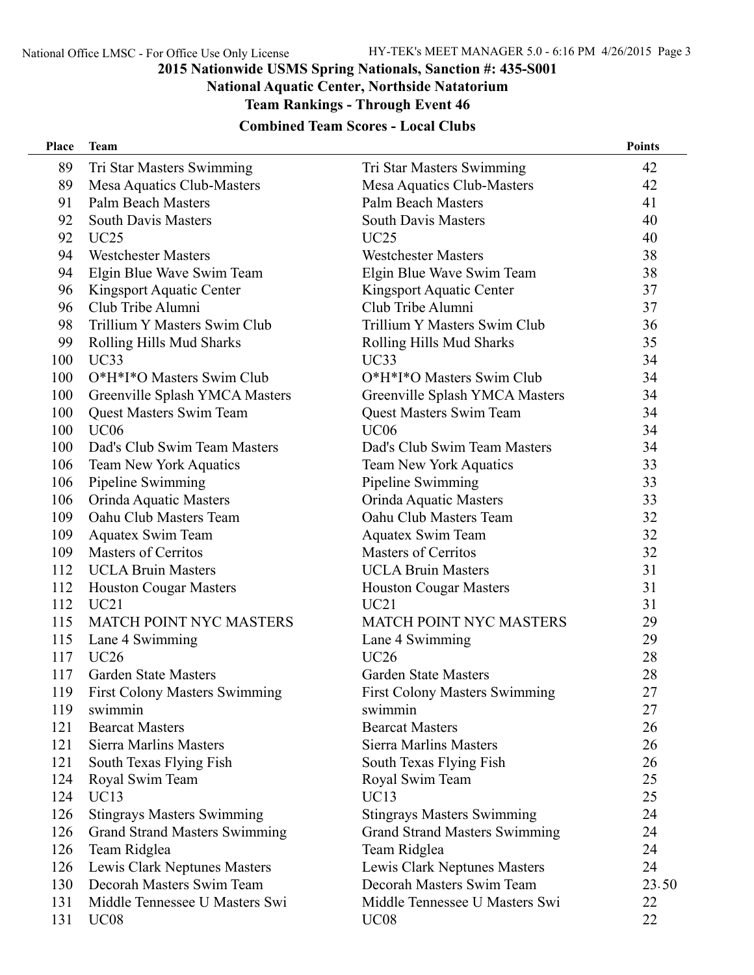#### **National Aquatic Center, Northside Natatorium**

**Team Rankings - Through Event 46**

| <b>Place</b> | <b>Team</b>                          |                                      | <b>Points</b> |
|--------------|--------------------------------------|--------------------------------------|---------------|
| 89           | Tri Star Masters Swimming            | Tri Star Masters Swimming            | 42            |
| 89           | Mesa Aquatics Club-Masters           | Mesa Aquatics Club-Masters           | 42            |
| 91           | <b>Palm Beach Masters</b>            | <b>Palm Beach Masters</b>            | 41            |
| 92           | <b>South Davis Masters</b>           | <b>South Davis Masters</b>           | 40            |
| 92           | UC25                                 | <b>UC25</b>                          | 40            |
| 94           | <b>Westchester Masters</b>           | <b>Westchester Masters</b>           | 38            |
| 94           | Elgin Blue Wave Swim Team            | Elgin Blue Wave Swim Team            | 38            |
| 96           | Kingsport Aquatic Center             | Kingsport Aquatic Center             | 37            |
| 96           | Club Tribe Alumni                    | Club Tribe Alumni                    | 37            |
| 98           | Trillium Y Masters Swim Club         | Trillium Y Masters Swim Club         | 36            |
| 99           | Rolling Hills Mud Sharks             | Rolling Hills Mud Sharks             | 35            |
| 100          | UC33                                 | UC33                                 | 34            |
| 100          | O*H*I*O Masters Swim Club            | O*H*I*O Masters Swim Club            | 34            |
| 100          | Greenville Splash YMCA Masters       | Greenville Splash YMCA Masters       | 34            |
| 100          | <b>Quest Masters Swim Team</b>       | <b>Quest Masters Swim Team</b>       | 34            |
| 100          | UC06                                 | <b>UC06</b>                          | 34            |
| 100          | Dad's Club Swim Team Masters         | Dad's Club Swim Team Masters         | 34            |
| 106          | <b>Team New York Aquatics</b>        | <b>Team New York Aquatics</b>        | 33            |
| 106          | Pipeline Swimming                    | Pipeline Swimming                    | 33            |
| 106          | Orinda Aquatic Masters               | Orinda Aquatic Masters               | 33            |
| 109          | Oahu Club Masters Team               | Oahu Club Masters Team               | 32            |
| 109          | <b>Aquatex Swim Team</b>             | <b>Aquatex Swim Team</b>             | 32            |
| 109          | <b>Masters of Cerritos</b>           | <b>Masters of Cerritos</b>           | 32            |
| 112          | <b>UCLA Bruin Masters</b>            | <b>UCLA Bruin Masters</b>            | 31            |
| 112          | <b>Houston Cougar Masters</b>        | <b>Houston Cougar Masters</b>        | 31            |
| 112          | UC21                                 | UC21                                 | 31            |
| 115          | <b>MATCH POINT NYC MASTERS</b>       | <b>MATCH POINT NYC MASTERS</b>       | 29            |
| 115          | Lane 4 Swimming                      | Lane 4 Swimming                      | 29            |
| 117          | <b>UC26</b>                          | <b>UC26</b>                          | 28            |
| 117          | <b>Garden State Masters</b>          | <b>Garden State Masters</b>          | 28            |
| 119          | First Colony Masters Swimming        | <b>First Colony Masters Swimming</b> | 27            |
| 119          | swimmin                              | swimmin                              | 27            |
| 121          | <b>Bearcat Masters</b>               | <b>Bearcat Masters</b>               | 26            |
| 121          | Sierra Marlins Masters               | <b>Sierra Marlins Masters</b>        | 26            |
| 121          | South Texas Flying Fish              | South Texas Flying Fish              | 26            |
| 124          | Royal Swim Team                      | Royal Swim Team                      | 25            |
| 124          | <b>UC13</b>                          | <b>UC13</b>                          | 25            |
| 126          | <b>Stingrays Masters Swimming</b>    | <b>Stingrays Masters Swimming</b>    | 24            |
| 126          | <b>Grand Strand Masters Swimming</b> | <b>Grand Strand Masters Swimming</b> | 24            |
| 126          | Team Ridglea                         | Team Ridglea                         | 24            |
| 126          | Lewis Clark Neptunes Masters         | Lewis Clark Neptunes Masters         | 24            |
| 130          | Decorah Masters Swim Team            | Decorah Masters Swim Team            | 23.50         |
| 131          | Middle Tennessee U Masters Swi       | Middle Tennessee U Masters Swi       | 22            |
| 131          | <b>UC08</b>                          | <b>UC08</b>                          | 22            |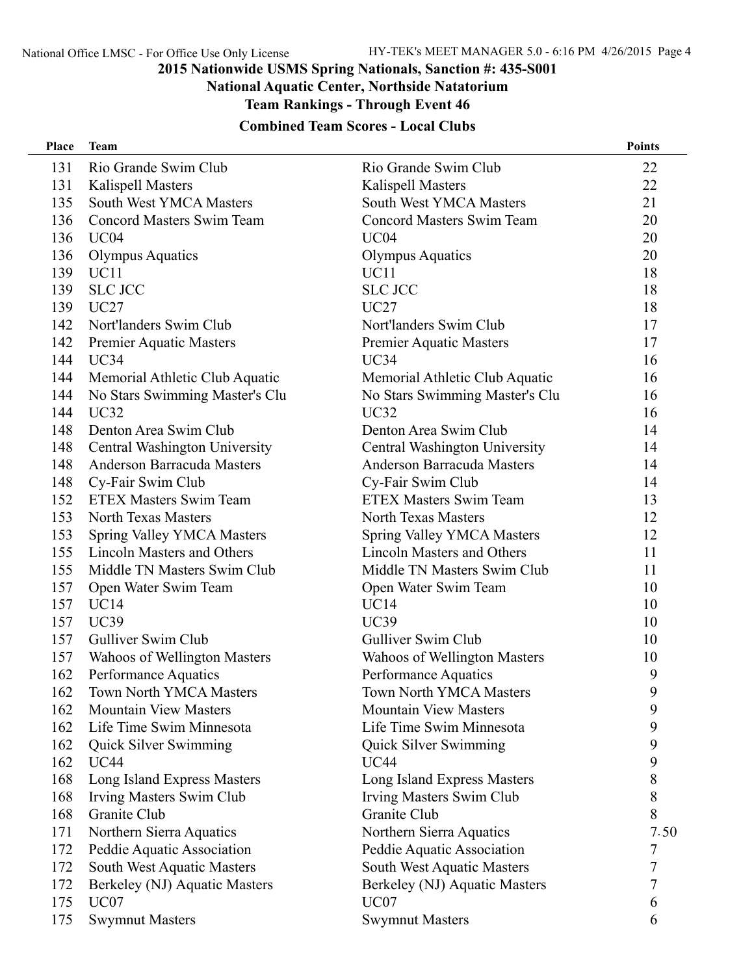### **National Aquatic Center, Northside Natatorium**

**Team Rankings - Through Event 46**

| Place | <b>Team</b>                       |                                   | <b>Points</b> |
|-------|-----------------------------------|-----------------------------------|---------------|
| 131   | Rio Grande Swim Club              | Rio Grande Swim Club              | 22            |
| 131   | Kalispell Masters                 | <b>Kalispell Masters</b>          | 22            |
| 135   | South West YMCA Masters           | South West YMCA Masters           | 21            |
| 136   | Concord Masters Swim Team         | <b>Concord Masters Swim Team</b>  | 20            |
| 136   | UC <sub>04</sub>                  | UC <sub>04</sub>                  | 20            |
| 136   | <b>Olympus Aquatics</b>           | <b>Olympus Aquatics</b>           | 20            |
| 139   | UC <sub>11</sub>                  | UC11                              | 18            |
| 139   | <b>SLC JCC</b>                    | <b>SLC JCC</b>                    | 18            |
| 139   | <b>UC27</b>                       | <b>UC27</b>                       | 18            |
| 142   | Nort'landers Swim Club            | Nort'landers Swim Club            | 17            |
| 142   | <b>Premier Aquatic Masters</b>    | Premier Aquatic Masters           | 17            |
| 144   | UC34                              | UC34                              | 16            |
| 144   | Memorial Athletic Club Aquatic    | Memorial Athletic Club Aquatic    | 16            |
| 144   | No Stars Swimming Master's Clu    | No Stars Swimming Master's Clu    | 16            |
| 144   | UC32                              | UC32                              | 16            |
| 148   | Denton Area Swim Club             | Denton Area Swim Club             | 14            |
| 148   | Central Washington University     | Central Washington University     | 14            |
| 148   | Anderson Barracuda Masters        | Anderson Barracuda Masters        | 14            |
| 148   | Cy-Fair Swim Club                 | Cy-Fair Swim Club                 | 14            |
| 152   | <b>ETEX Masters Swim Team</b>     | <b>ETEX Masters Swim Team</b>     | 13            |
| 153   | <b>North Texas Masters</b>        | <b>North Texas Masters</b>        | 12            |
| 153   | <b>Spring Valley YMCA Masters</b> | <b>Spring Valley YMCA Masters</b> | 12            |
| 155   | <b>Lincoln Masters and Others</b> | <b>Lincoln Masters and Others</b> | 11            |
| 155   | Middle TN Masters Swim Club       | Middle TN Masters Swim Club       | 11            |
| 157   | Open Water Swim Team              | Open Water Swim Team              | 10            |
| 157   | UC14                              | UC14                              | 10            |
| 157   | UC39                              | <b>UC39</b>                       | 10            |
| 157   | Gulliver Swim Club                | Gulliver Swim Club                | 10            |
| 157   | Wahoos of Wellington Masters      | Wahoos of Wellington Masters      | 10            |
| 162   | Performance Aquatics              | Performance Aquatics              | 9             |
| 162   | <b>Town North YMCA Masters</b>    | <b>Town North YMCA Masters</b>    | 9             |
| 162   | <b>Mountain View Masters</b>      | <b>Mountain View Masters</b>      | 9             |
| 162   | Life Time Swim Minnesota          | Life Time Swim Minnesota          | 9             |
| 162   | Quick Silver Swimming             | Quick Silver Swimming             | 9             |
| 162   | <b>UC44</b>                       | <b>UC44</b>                       | 9             |
| 168   | Long Island Express Masters       | Long Island Express Masters       | 8             |
| 168   | Irving Masters Swim Club          | Irving Masters Swim Club          | 8             |
| 168   | Granite Club                      | Granite Club                      | 8             |
| 171   | Northern Sierra Aquatics          | Northern Sierra Aquatics          | 7.50          |
| 172   | Peddie Aquatic Association        | Peddie Aquatic Association        | 7             |
| 172   | South West Aquatic Masters        | South West Aquatic Masters        | 7             |
| 172   | Berkeley (NJ) Aquatic Masters     | Berkeley (NJ) Aquatic Masters     | 7             |
| 175   | UC <sub>07</sub>                  | UC07                              | 6             |
| 175   | <b>Swymnut Masters</b>            | <b>Swymnut Masters</b>            | 6             |